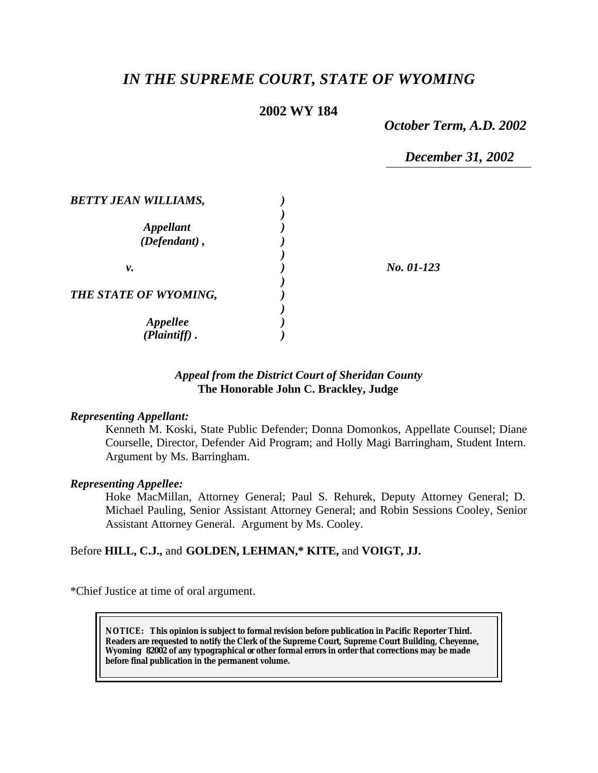# *IN THE SUPREME COURT, STATE OF WYOMING*

# **2002 WY 184**

*October Term, A.D. 2002*

*December 31, 2002*

| <b>BETTY JEAN WILLIAMS,</b> |            |
|-----------------------------|------------|
| <b>Appellant</b>            |            |
| (Defendant),                |            |
| ν.                          | No. 01-123 |
| THE STATE OF WYOMING,       |            |
|                             |            |
| Appellee<br>(Plaintiff)     |            |

# *Appeal from the District Court of Sheridan County* **The Honorable John C. Brackley, Judge**

### *Representing Appellant:*

Kenneth M. Koski, State Public Defender; Donna Domonkos, Appellate Counsel; Diane Courselle, Director, Defender Aid Program; and Holly Magi Barringham, Student Intern. Argument by Ms. Barringham.

#### *Representing Appellee:*

Hoke MacMillan, Attorney General; Paul S. Rehurek, Deputy Attorney General; D. Michael Pauling, Senior Assistant Attorney General; and Robin Sessions Cooley, Senior Assistant Attorney General. Argument by Ms. Cooley.

#### Before **HILL, C.J.,** and **GOLDEN, LEHMAN,\* KITE,** and **VOIGT, JJ.**

\*Chief Justice at time of oral argument.

**NOTICE:** *This opinion is subject to formal revision before publication in Pacific Reporter Third. Readers are requested to notify the Clerk of the Supreme Court, Supreme Court Building, Cheyenne, Wyoming 82002 of any typographical or other formal errors in order that corrections may be made before final publication in the permanent volume.*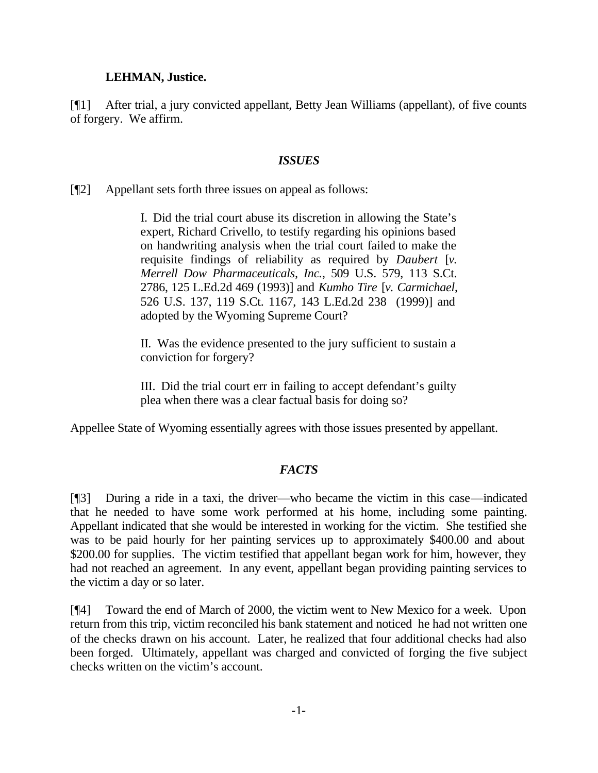### **LEHMAN, Justice.**

[¶1] After trial, a jury convicted appellant, Betty Jean Williams (appellant), of five counts of forgery. We affirm.

### *ISSUES*

[¶2] Appellant sets forth three issues on appeal as follows:

I. Did the trial court abuse its discretion in allowing the State's expert, Richard Crivello, to testify regarding his opinions based on handwriting analysis when the trial court failed to make the requisite findings of reliability as required by *Daubert* [*v. Merrell Dow Pharmaceuticals, Inc.*, 509 U.S. 579, 113 S.Ct. 2786, 125 L.Ed.2d 469 (1993)] and *Kumho Tire* [*v. Carmichael*, 526 U.S. 137, 119 S.Ct. 1167, 143 L.Ed.2d 238 (1999)] and adopted by the Wyoming Supreme Court?

II. Was the evidence presented to the jury sufficient to sustain a conviction for forgery?

III. Did the trial court err in failing to accept defendant's guilty plea when there was a clear factual basis for doing so?

Appellee State of Wyoming essentially agrees with those issues presented by appellant.

# *FACTS*

[¶3] During a ride in a taxi, the driver—who became the victim in this case—indicated that he needed to have some work performed at his home, including some painting. Appellant indicated that she would be interested in working for the victim. She testified she was to be paid hourly for her painting services up to approximately \$400.00 and about \$200.00 for supplies. The victim testified that appellant began work for him, however, they had not reached an agreement. In any event, appellant began providing painting services to the victim a day or so later.

[¶4] Toward the end of March of 2000, the victim went to New Mexico for a week. Upon return from this trip, victim reconciled his bank statement and noticed he had not written one of the checks drawn on his account. Later, he realized that four additional checks had also been forged. Ultimately, appellant was charged and convicted of forging the five subject checks written on the victim's account.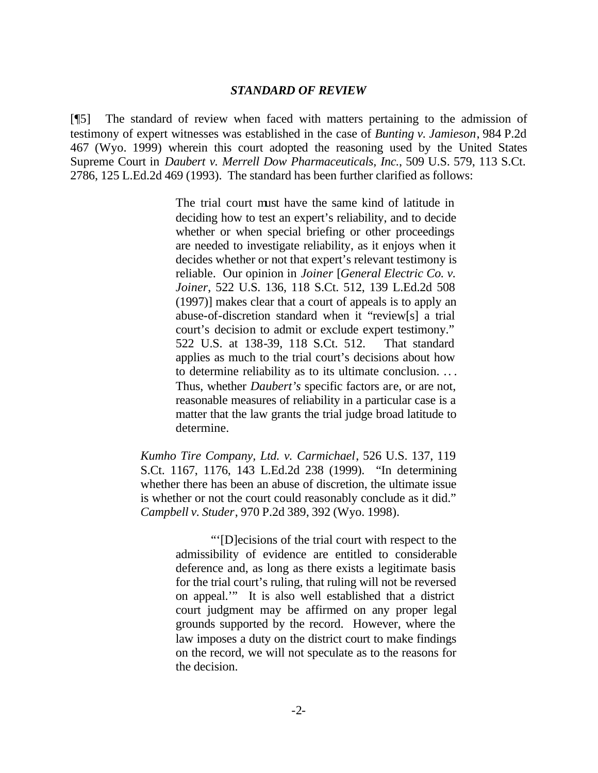#### *STANDARD OF REVIEW*

[¶5] The standard of review when faced with matters pertaining to the admission of testimony of expert witnesses was established in the case of *Bunting v. Jamieson*, 984 P.2d 467 (Wyo. 1999) wherein this court adopted the reasoning used by the United States Supreme Court in *Daubert v. Merrell Dow Pharmaceuticals, Inc.*, 509 U.S. 579, 113 S.Ct. 2786, 125 L.Ed.2d 469 (1993). The standard has been further clarified as follows:

> The trial court must have the same kind of latitude in deciding how to test an expert's reliability, and to decide whether or when special briefing or other proceedings are needed to investigate reliability, as it enjoys when it decides whether or not that expert's relevant testimony is reliable. Our opinion in *Joiner* [*General Electric Co. v. Joiner*, 522 U.S. 136, 118 S.Ct. 512, 139 L.Ed.2d 508 (1997)] makes clear that a court of appeals is to apply an abuse-of-discretion standard when it "review[s] a trial court's decision to admit or exclude expert testimony." 522 U.S. at 138-39, 118 S.Ct. 512. That standard applies as much to the trial court's decisions about how to determine reliability as to its ultimate conclusion. .. . Thus, whether *Daubert's* specific factors are, or are not, reasonable measures of reliability in a particular case is a matter that the law grants the trial judge broad latitude to determine.

*Kumho Tire Company, Ltd. v. Carmichael*, 526 U.S. 137, 119 S.Ct. 1167, 1176, 143 L.Ed.2d 238 (1999). "In determining whether there has been an abuse of discretion, the ultimate issue is whether or not the court could reasonably conclude as it did." *Campbell v. Studer*, 970 P.2d 389, 392 (Wyo. 1998).

> "'[D]ecisions of the trial court with respect to the admissibility of evidence are entitled to considerable deference and, as long as there exists a legitimate basis for the trial court's ruling, that ruling will not be reversed on appeal.'" It is also well established that a district court judgment may be affirmed on any proper legal grounds supported by the record. However, where the law imposes a duty on the district court to make findings on the record, we will not speculate as to the reasons for the decision.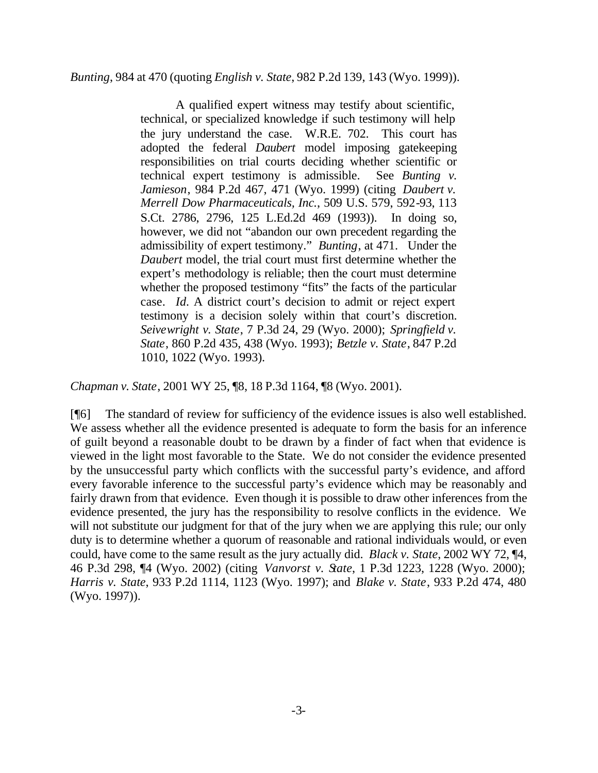### *Bunting*, 984 at 470 (quoting *English v. State*, 982 P.2d 139, 143 (Wyo. 1999)).

A qualified expert witness may testify about scientific, technical, or specialized knowledge if such testimony will help the jury understand the case. W.R.E. 702. This court has adopted the federal *Daubert* model imposing gatekeeping responsibilities on trial courts deciding whether scientific or technical expert testimony is admissible. See *Bunting v. Jamieson*, 984 P.2d 467, 471 (Wyo. 1999) (citing *Daubert v. Merrell Dow Pharmaceuticals, Inc.*, 509 U.S. 579, 592-93, 113 S.Ct. 2786, 2796, 125 L.Ed.2d 469 (1993)). In doing so, however, we did not "abandon our own precedent regarding the admissibility of expert testimony." *Bunting*, at 471. Under the *Daubert* model, the trial court must first determine whether the expert's methodology is reliable; then the court must determine whether the proposed testimony "fits" the facts of the particular case. *Id.* A district court's decision to admit or reject expert testimony is a decision solely within that court's discretion. *Seivewright v. State*, 7 P.3d 24, 29 (Wyo. 2000); *Springfield v. State*, 860 P.2d 435, 438 (Wyo. 1993); *Betzle v. State*, 847 P.2d 1010, 1022 (Wyo. 1993).

*Chapman v. State*, 2001 WY 25, ¶8, 18 P.3d 1164, ¶8 (Wyo. 2001).

[¶6] The standard of review for sufficiency of the evidence issues is also well established. We assess whether all the evidence presented is adequate to form the basis for an inference of guilt beyond a reasonable doubt to be drawn by a finder of fact when that evidence is viewed in the light most favorable to the State. We do not consider the evidence presented by the unsuccessful party which conflicts with the successful party's evidence, and afford every favorable inference to the successful party's evidence which may be reasonably and fairly drawn from that evidence. Even though it is possible to draw other inferences from the evidence presented, the jury has the responsibility to resolve conflicts in the evidence. We will not substitute our judgment for that of the jury when we are applying this rule; our only duty is to determine whether a quorum of reasonable and rational individuals would, or even could, have come to the same result as the jury actually did. *Black v. State*, 2002 WY 72, ¶4, 46 P.3d 298, <sup>¶</sup>4 (Wyo. 2002) (citing *Vanvorst v. State*, 1 P.3d 1223, 1228 (Wyo. 2000); *Harris v. State*, 933 P.2d 1114, 1123 (Wyo. 1997); and *Blake v. State*, 933 P.2d 474, 480 (Wyo. 1997)).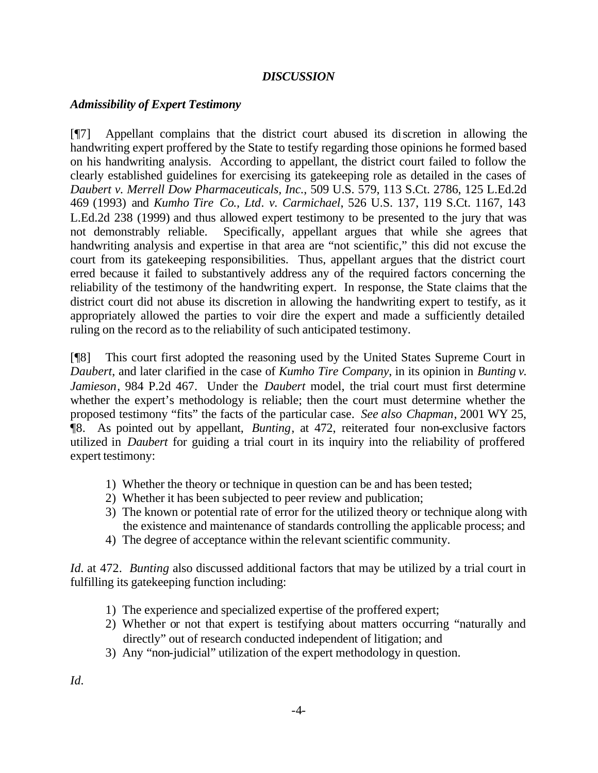# *DISCUSSION*

# *Admissibility of Expert Testimony*

[¶7] Appellant complains that the district court abused its discretion in allowing the handwriting expert proffered by the State to testify regarding those opinions he formed based on his handwriting analysis. According to appellant, the district court failed to follow the clearly established guidelines for exercising its gatekeeping role as detailed in the cases of *Daubert v. Merrell Dow Pharmaceuticals, Inc.*, 509 U.S. 579, 113 S.Ct. 2786, 125 L.Ed.2d 469 (1993) and *Kumho Tire Co., Ltd. v. Carmichael*, 526 U.S. 137, 119 S.Ct. 1167, 143 L.Ed.2d 238 (1999) and thus allowed expert testimony to be presented to the jury that was not demonstrably reliable. Specifically, appellant argues that while she agrees that handwriting analysis and expertise in that area are "not scientific," this did not excuse the court from its gatekeeping responsibilities. Thus, appellant argues that the district court erred because it failed to substantively address any of the required factors concerning the reliability of the testimony of the handwriting expert. In response, the State claims that the district court did not abuse its discretion in allowing the handwriting expert to testify, as it appropriately allowed the parties to voir dire the expert and made a sufficiently detailed ruling on the record as to the reliability of such anticipated testimony.

[¶8] This court first adopted the reasoning used by the United States Supreme Court in *Daubert*, and later clarified in the case of *Kumho Tire Company*, in its opinion in *Bunting v. Jamieson*, 984 P.2d 467. Under the *Daubert* model, the trial court must first determine whether the expert's methodology is reliable; then the court must determine whether the proposed testimony "fits" the facts of the particular case. *See also Chapman*, 2001 WY 25, ¶8. As pointed out by appellant, *Bunting*, at 472, reiterated four non-exclusive factors utilized in *Daubert* for guiding a trial court in its inquiry into the reliability of proffered expert testimony:

- 1) Whether the theory or technique in question can be and has been tested;
- 2) Whether it has been subjected to peer review and publication;
- 3) The known or potential rate of error for the utilized theory or technique along with the existence and maintenance of standards controlling the applicable process; and
- 4) The degree of acceptance within the relevant scientific community.

*Id.* at 472. *Bunting* also discussed additional factors that may be utilized by a trial court in fulfilling its gatekeeping function including:

- 1) The experience and specialized expertise of the proffered expert;
- 2) Whether or not that expert is testifying about matters occurring "naturally and directly" out of research conducted independent of litigation; and
- 3) Any "non-judicial" utilization of the expert methodology in question.

*Id.*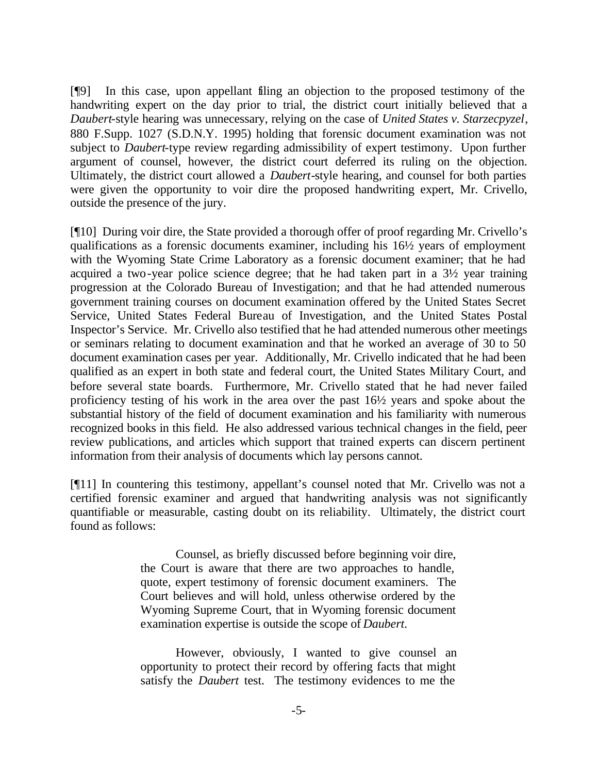[¶9] In this case, upon appellant filing an objection to the proposed testimony of the handwriting expert on the day prior to trial, the district court initially believed that a *Daubert*-style hearing was unnecessary, relying on the case of *United States v. Starzecpyzel*, 880 F.Supp. 1027 (S.D.N.Y. 1995) holding that forensic document examination was not subject to *Daubert-*type review regarding admissibility of expert testimony. Upon further argument of counsel, however, the district court deferred its ruling on the objection. Ultimately, the district court allowed a *Daubert*-style hearing, and counsel for both parties were given the opportunity to voir dire the proposed handwriting expert, Mr. Crivello, outside the presence of the jury.

[¶10] During voir dire, the State provided a thorough offer of proof regarding Mr. Crivello's qualifications as a forensic documents examiner, including his 16½ years of employment with the Wyoming State Crime Laboratory as a forensic document examiner; that he had acquired a two-year police science degree; that he had taken part in a 3½ year training progression at the Colorado Bureau of Investigation; and that he had attended numerous government training courses on document examination offered by the United States Secret Service, United States Federal Bureau of Investigation, and the United States Postal Inspector's Service. Mr. Crivello also testified that he had attended numerous other meetings or seminars relating to document examination and that he worked an average of 30 to 50 document examination cases per year. Additionally, Mr. Crivello indicated that he had been qualified as an expert in both state and federal court, the United States Military Court, and before several state boards. Furthermore, Mr. Crivello stated that he had never failed proficiency testing of his work in the area over the past 16½ years and spoke about the substantial history of the field of document examination and his familiarity with numerous recognized books in this field. He also addressed various technical changes in the field, peer review publications, and articles which support that trained experts can discern pertinent information from their analysis of documents which lay persons cannot.

[¶11] In countering this testimony, appellant's counsel noted that Mr. Crivello was not a certified forensic examiner and argued that handwriting analysis was not significantly quantifiable or measurable, casting doubt on its reliability. Ultimately, the district court found as follows:

> Counsel, as briefly discussed before beginning voir dire, the Court is aware that there are two approaches to handle, quote, expert testimony of forensic document examiners. The Court believes and will hold, unless otherwise ordered by the Wyoming Supreme Court, that in Wyoming forensic document examination expertise is outside the scope of *Daubert*.

> However, obviously, I wanted to give counsel an opportunity to protect their record by offering facts that might satisfy the *Daubert* test. The testimony evidences to me the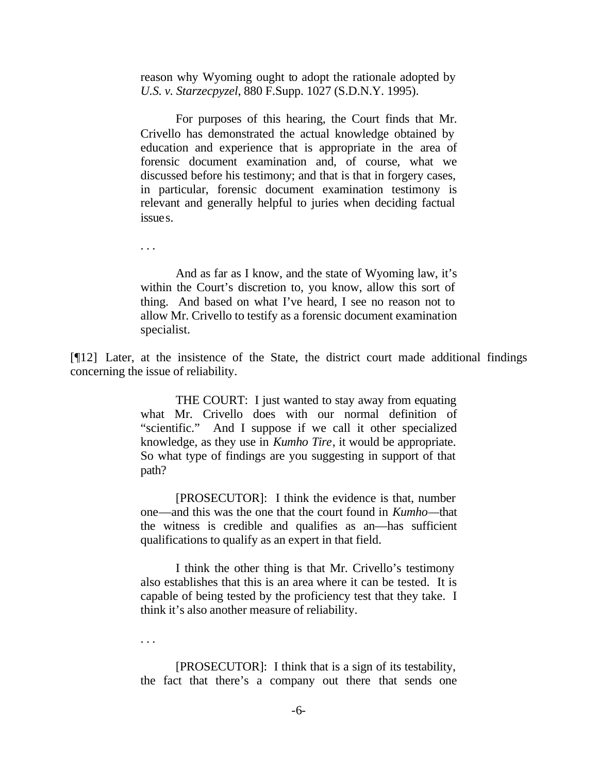reason why Wyoming ought to adopt the rationale adopted by *U.S. v. Starzecpyzel*, 880 F.Supp. 1027 (S.D.N.Y. 1995).

For purposes of this hearing, the Court finds that Mr. Crivello has demonstrated the actual knowledge obtained by education and experience that is appropriate in the area of forensic document examination and, of course, what we discussed before his testimony; and that is that in forgery cases, in particular, forensic document examination testimony is relevant and generally helpful to juries when deciding factual issues.

And as far as I know, and the state of Wyoming law, it's within the Court's discretion to, you know, allow this sort of thing. And based on what I've heard, I see no reason not to allow Mr. Crivello to testify as a forensic document examination specialist.

[¶12] Later, at the insistence of the State, the district court made additional findings concerning the issue of reliability.

> THE COURT: I just wanted to stay away from equating what Mr. Crivello does with our normal definition of "scientific." And I suppose if we call it other specialized knowledge, as they use in *Kumho Tire*, it would be appropriate. So what type of findings are you suggesting in support of that path?

> [PROSECUTOR]: I think the evidence is that, number one—and this was the one that the court found in *Kumho—*that the witness is credible and qualifies as an—has sufficient qualifications to qualify as an expert in that field.

> I think the other thing is that Mr. Crivello's testimony also establishes that this is an area where it can be tested. It is capable of being tested by the proficiency test that they take. I think it's also another measure of reliability.

. . .

. . .

[PROSECUTOR]: I think that is a sign of its testability, the fact that there's a company out there that sends one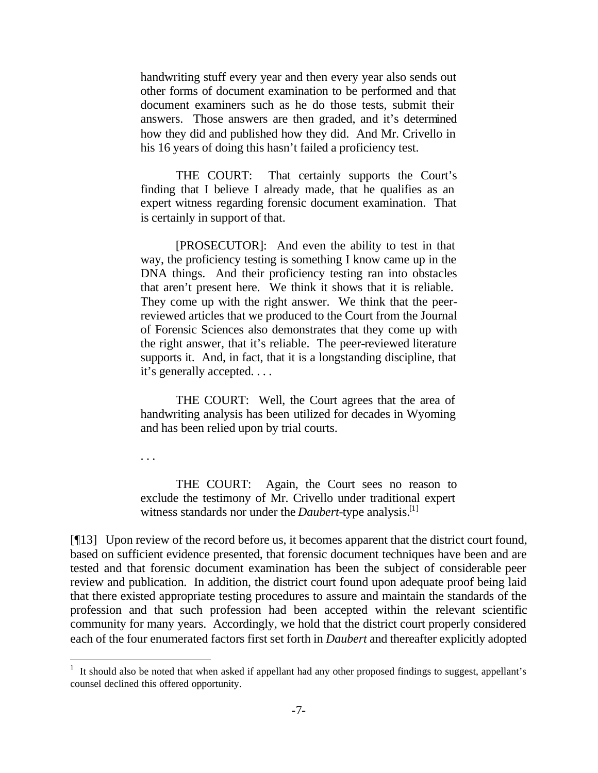handwriting stuff every year and then every year also sends out other forms of document examination to be performed and that document examiners such as he do those tests, submit their answers. Those answers are then graded, and it's determined how they did and published how they did. And Mr. Crivello in his 16 years of doing this hasn't failed a proficiency test.

THE COURT: That certainly supports the Court's finding that I believe I already made, that he qualifies as an expert witness regarding forensic document examination. That is certainly in support of that.

[PROSECUTOR]: And even the ability to test in that way, the proficiency testing is something I know came up in the DNA things. And their proficiency testing ran into obstacles that aren't present here. We think it shows that it is reliable. They come up with the right answer. We think that the peerreviewed articles that we produced to the Court from the Journal of Forensic Sciences also demonstrates that they come up with the right answer, that it's reliable. The peer-reviewed literature supports it. And, in fact, that it is a longstanding discipline, that it's generally accepted. . . .

THE COURT: Well, the Court agrees that the area of handwriting analysis has been utilized for decades in Wyoming and has been relied upon by trial courts.

. . .

 $\overline{a}$ 

THE COURT: Again, the Court sees no reason to exclude the testimony of Mr. Crivello under traditional expert witness standards nor under the *Daubert*-type analysis.[1]

[¶13] Upon review of the record before us, it becomes apparent that the district court found, based on sufficient evidence presented, that forensic document techniques have been and are tested and that forensic document examination has been the subject of considerable peer review and publication. In addition, the district court found upon adequate proof being laid that there existed appropriate testing procedures to assure and maintain the standards of the profession and that such profession had been accepted within the relevant scientific community for many years. Accordingly, we hold that the district court properly considered each of the four enumerated factors first set forth in *Daubert* and thereafter explicitly adopted

<sup>&</sup>lt;sup>1</sup> It should also be noted that when asked if appellant had any other proposed findings to suggest, appellant's counsel declined this offered opportunity.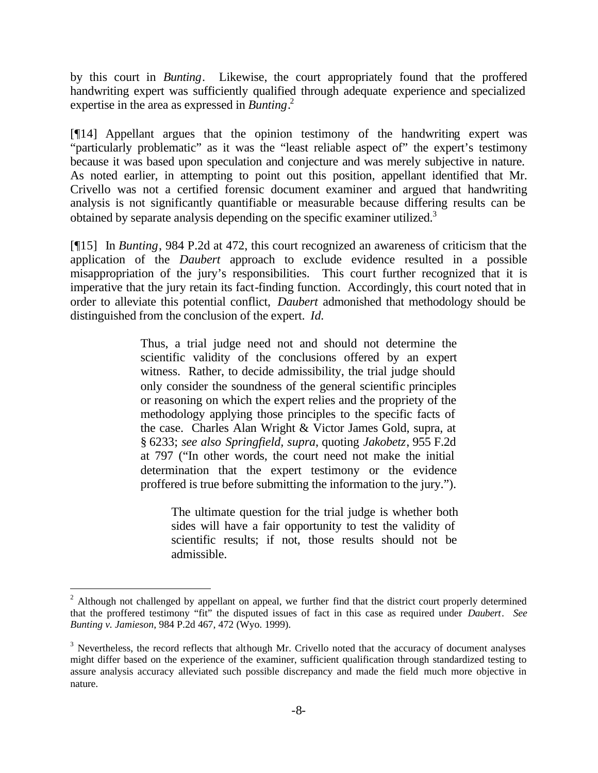by this court in *Bunting*. Likewise, the court appropriately found that the proffered handwriting expert was sufficiently qualified through adequate experience and specialized expertise in the area as expressed in *Bunting*. 2

[¶14] Appellant argues that the opinion testimony of the handwriting expert was "particularly problematic" as it was the "least reliable aspect of" the expert's testimony because it was based upon speculation and conjecture and was merely subjective in nature. As noted earlier, in attempting to point out this position, appellant identified that Mr. Crivello was not a certified forensic document examiner and argued that handwriting analysis is not significantly quantifiable or measurable because differing results can be obtained by separate analysis depending on the specific examiner utilized.<sup>3</sup>

[¶15] In *Bunting*, 984 P.2d at 472, this court recognized an awareness of criticism that the application of the *Daubert* approach to exclude evidence resulted in a possible misappropriation of the jury's responsibilities. This court further recognized that it is imperative that the jury retain its fact-finding function. Accordingly, this court noted that in order to alleviate this potential conflict, *Daubert* admonished that methodology should be distinguished from the conclusion of the expert. *Id.*

> Thus, a trial judge need not and should not determine the scientific validity of the conclusions offered by an expert witness. Rather, to decide admissibility, the trial judge should only consider the soundness of the general scientific principles or reasoning on which the expert relies and the propriety of the methodology applying those principles to the specific facts of the case. Charles Alan Wright & Victor James Gold, supra, at § 6233; *see also Springfield, supra*, quoting *Jakobetz*, 955 F.2d at 797 ("In other words, the court need not make the initial determination that the expert testimony or the evidence proffered is true before submitting the information to the jury.").

The ultimate question for the trial judge is whether both sides will have a fair opportunity to test the validity of scientific results; if not, those results should not be admissible.

 $\overline{a}$ 

 $2$  Although not challenged by appellant on appeal, we further find that the district court properly determined that the proffered testimony "fit" the disputed issues of fact in this case as required under *Daubert*. *See Bunting v. Jamieson*, 984 P.2d 467, 472 (Wyo. 1999).

 $3$  Nevertheless, the record reflects that although Mr. Crivello noted that the accuracy of document analyses might differ based on the experience of the examiner, sufficient qualification through standardized testing to assure analysis accuracy alleviated such possible discrepancy and made the field much more objective in nature.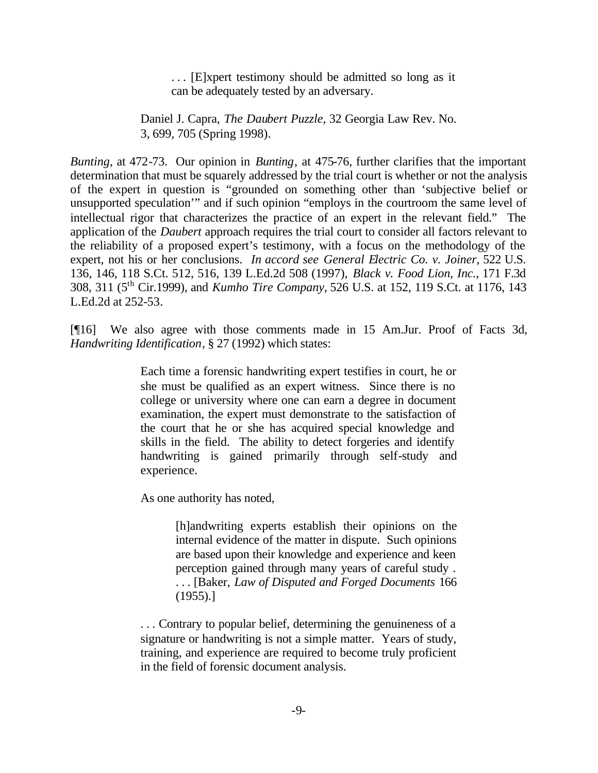. . . [E]xpert testimony should be admitted so long as it can be adequately tested by an adversary.

Daniel J. Capra, *The Daubert Puzzle*, 32 Georgia Law Rev. No. 3, 699, 705 (Spring 1998).

*Bunting*, at 472-73. Our opinion in *Bunting*, at 475-76, further clarifies that the important determination that must be squarely addressed by the trial court is whether or not the analysis of the expert in question is "grounded on something other than 'subjective belief or unsupported speculation'" and if such opinion "employs in the courtroom the same level of intellectual rigor that characterizes the practice of an expert in the relevant field." The application of the *Daubert* approach requires the trial court to consider all factors relevant to the reliability of a proposed expert's testimony, with a focus on the methodology of the expert, not his or her conclusions. *In accord see General Electric Co. v. Joiner*, 522 U.S. 136, 146, 118 S.Ct. 512, 516, 139 L.Ed.2d 508 (1997), *Black v. Food Lion, Inc.*, 171 F.3d 308, 311 (5th Cir.1999), and *Kumho Tire Company,* 526 U.S. at 152, 119 S.Ct. at 1176, 143 L.Ed.2d at 252-53.

[¶16] We also agree with those comments made in 15 Am.Jur. Proof of Facts 3d, *Handwriting Identification*, § 27 (1992) which states:

> Each time a forensic handwriting expert testifies in court, he or she must be qualified as an expert witness. Since there is no college or university where one can earn a degree in document examination, the expert must demonstrate to the satisfaction of the court that he or she has acquired special knowledge and skills in the field. The ability to detect forgeries and identify handwriting is gained primarily through self-study and experience.

As one authority has noted,

[h]andwriting experts establish their opinions on the internal evidence of the matter in dispute. Such opinions are based upon their knowledge and experience and keen perception gained through many years of careful study . . . . [Baker, *Law of Disputed and Forged Documents* 166 (1955).]

. . . Contrary to popular belief, determining the genuineness of a signature or handwriting is not a simple matter. Years of study, training, and experience are required to become truly proficient in the field of forensic document analysis.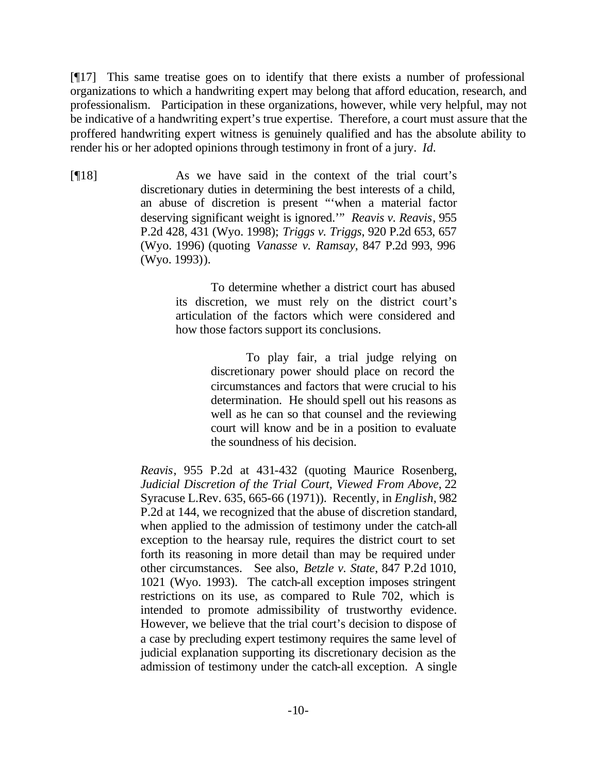[¶17] This same treatise goes on to identify that there exists a number of professional organizations to which a handwriting expert may belong that afford education, research, and professionalism. Participation in these organizations, however, while very helpful, may not be indicative of a handwriting expert's true expertise. Therefore, a court must assure that the proffered handwriting expert witness is genuinely qualified and has the absolute ability to render his or her adopted opinions through testimony in front of a jury. *Id.*

[¶18] As we have said in the context of the trial court's discretionary duties in determining the best interests of a child, an abuse of discretion is present "'when a material factor deserving significant weight is ignored.'" *Reavis v. Reavis*, 955 P.2d 428, 431 (Wyo. 1998); *Triggs v. Triggs*, 920 P.2d 653, 657 (Wyo. 1996) (quoting *Vanasse v. Ramsay*, 847 P.2d 993, 996 (Wyo. 1993)).

> To determine whether a district court has abused its discretion, we must rely on the district court's articulation of the factors which were considered and how those factors support its conclusions.

> > To play fair, a trial judge relying on discretionary power should place on record the circumstances and factors that were crucial to his determination. He should spell out his reasons as well as he can so that counsel and the reviewing court will know and be in a position to evaluate the soundness of his decision.

*Reavis*, 955 P.2d at 431-432 (quoting Maurice Rosenberg, *Judicial Discretion of the Trial Court, Viewed From Above*, 22 Syracuse L.Rev. 635, 665-66 (1971)). Recently, in *English*, 982 P.2d at 144, we recognized that the abuse of discretion standard, when applied to the admission of testimony under the catch-all exception to the hearsay rule, requires the district court to set forth its reasoning in more detail than may be required under other circumstances. See also, *Betzle v. State*, 847 P.2d 1010, 1021 (Wyo. 1993). The catch-all exception imposes stringent restrictions on its use, as compared to Rule 702, which is intended to promote admissibility of trustworthy evidence. However, we believe that the trial court's decision to dispose of a case by precluding expert testimony requires the same level of judicial explanation supporting its discretionary decision as the admission of testimony under the catch-all exception. A single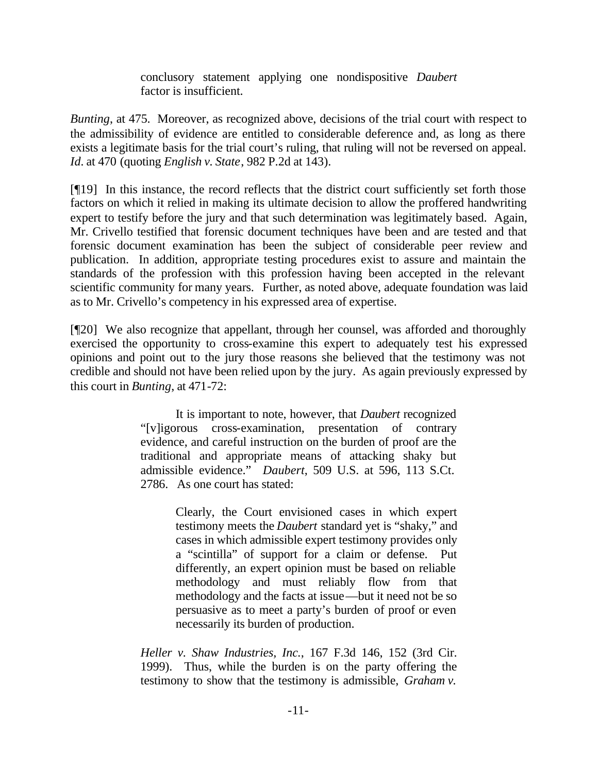conclusory statement applying one nondispositive *Daubert* factor is insufficient.

*Bunting*, at 475. Moreover, as recognized above, decisions of the trial court with respect to the admissibility of evidence are entitled to considerable deference and, as long as there exists a legitimate basis for the trial court's ruling, that ruling will not be reversed on appeal. *Id.* at 470 (quoting *English v. State*, 982 P.2d at 143).

[¶19] In this instance, the record reflects that the district court sufficiently set forth those factors on which it relied in making its ultimate decision to allow the proffered handwriting expert to testify before the jury and that such determination was legitimately based. Again, Mr. Crivello testified that forensic document techniques have been and are tested and that forensic document examination has been the subject of considerable peer review and publication. In addition, appropriate testing procedures exist to assure and maintain the standards of the profession with this profession having been accepted in the relevant scientific community for many years. Further, as noted above, adequate foundation was laid as to Mr. Crivello's competency in his expressed area of expertise.

[¶20] We also recognize that appellant, through her counsel, was afforded and thoroughly exercised the opportunity to cross-examine this expert to adequately test his expressed opinions and point out to the jury those reasons she believed that the testimony was not credible and should not have been relied upon by the jury. As again previously expressed by this court in *Bunting*, at 471-72:

> It is important to note, however, that *Daubert* recognized "[v]igorous cross-examination, presentation of contrary evidence, and careful instruction on the burden of proof are the traditional and appropriate means of attacking shaky but admissible evidence." *Daubert*, 509 U.S. at 596, 113 S.Ct. 2786. As one court has stated:

> > Clearly, the Court envisioned cases in which expert testimony meets the *Daubert* standard yet is "shaky," and cases in which admissible expert testimony provides only a "scintilla" of support for a claim or defense. Put differently, an expert opinion must be based on reliable methodology and must reliably flow from that methodology and the facts at issue—but it need not be so persuasive as to meet a party's burden of proof or even necessarily its burden of production.

*Heller v. Shaw Industries, Inc.*, 167 F.3d 146, 152 (3rd Cir. 1999). Thus, while the burden is on the party offering the testimony to show that the testimony is admissible, *Graham v.*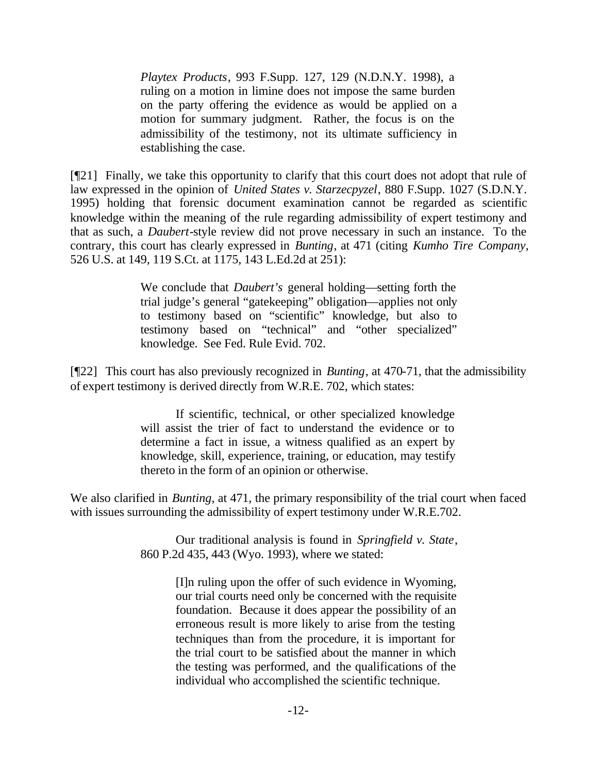*Playtex Products*, 993 F.Supp. 127, 129 (N.D.N.Y. 1998), a ruling on a motion in limine does not impose the same burden on the party offering the evidence as would be applied on a motion for summary judgment. Rather, the focus is on the admissibility of the testimony, not its ultimate sufficiency in establishing the case.

[¶21] Finally, we take this opportunity to clarify that this court does not adopt that rule of law expressed in the opinion of *United States v. Starzecpyzel*, 880 F.Supp. 1027 (S.D.N.Y. 1995) holding that forensic document examination cannot be regarded as scientific knowledge within the meaning of the rule regarding admissibility of expert testimony and that as such, a *Daubert*-style review did not prove necessary in such an instance. To the contrary, this court has clearly expressed in *Bunting*, at 471 (citing *Kumho Tire Company,* 526 U.S. at 149, 119 S.Ct. at 1175, 143 L.Ed.2d at 251):

> We conclude that *Daubert's* general holding—setting forth the trial judge's general "gatekeeping" obligation—applies not only to testimony based on "scientific" knowledge, but also to testimony based on "technical" and "other specialized" knowledge. See Fed. Rule Evid. 702.

[¶22] This court has also previously recognized in *Bunting*, at 470-71, that the admissibility of expert testimony is derived directly from W.R.E. 702, which states:

> If scientific, technical, or other specialized knowledge will assist the trier of fact to understand the evidence or to determine a fact in issue, a witness qualified as an expert by knowledge, skill, experience, training, or education, may testify thereto in the form of an opinion or otherwise.

We also clarified in *Bunting*, at 471, the primary responsibility of the trial court when faced with issues surrounding the admissibility of expert testimony under W.R.E.702.

> Our traditional analysis is found in *Springfield v. State*, 860 P.2d 435, 443 (Wyo. 1993), where we stated:

> > [I]n ruling upon the offer of such evidence in Wyoming, our trial courts need only be concerned with the requisite foundation. Because it does appear the possibility of an erroneous result is more likely to arise from the testing techniques than from the procedure, it is important for the trial court to be satisfied about the manner in which the testing was performed, and the qualifications of the individual who accomplished the scientific technique.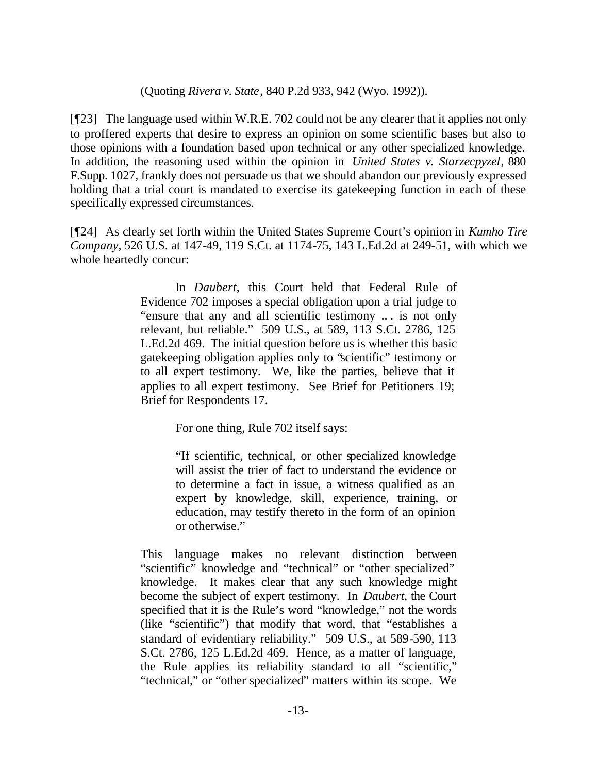### (Quoting *Rivera v. State*, 840 P.2d 933, 942 (Wyo. 1992)).

[¶23] The language used within W.R.E. 702 could not be any clearer that it applies not only to proffered experts that desire to express an opinion on some scientific bases but also to those opinions with a foundation based upon technical or any other specialized knowledge. In addition, the reasoning used within the opinion in *United States v. Starzecpyzel*, 880 F.Supp. 1027, frankly does not persuade us that we should abandon our previously expressed holding that a trial court is mandated to exercise its gatekeeping function in each of these specifically expressed circumstances.

[¶24] As clearly set forth within the United States Supreme Court's opinion in *Kumho Tire Company,* 526 U.S. at 147-49, 119 S.Ct. at 1174-75, 143 L.Ed.2d at 249-51, with which we whole heartedly concur:

> In *Daubert*, this Court held that Federal Rule of Evidence 702 imposes a special obligation upon a trial judge to "ensure that any and all scientific testimony .. . is not only relevant, but reliable." 509 U.S., at 589, 113 S.Ct. 2786, 125 L.Ed.2d 469. The initial question before us is whether this basic gatekeeping obligation applies only to "scientific" testimony or to all expert testimony. We, like the parties, believe that it applies to all expert testimony. See Brief for Petitioners 19; Brief for Respondents 17.

> > For one thing, Rule 702 itself says:

"If scientific, technical, or other specialized knowledge will assist the trier of fact to understand the evidence or to determine a fact in issue, a witness qualified as an expert by knowledge, skill, experience, training, or education, may testify thereto in the form of an opinion or otherwise."

This language makes no relevant distinction between "scientific" knowledge and "technical" or "other specialized" knowledge. It makes clear that any such knowledge might become the subject of expert testimony. In *Daubert*, the Court specified that it is the Rule's word "knowledge," not the words (like "scientific") that modify that word, that "establishes a standard of evidentiary reliability." 509 U.S., at 589-590, 113 S.Ct. 2786, 125 L.Ed.2d 469. Hence, as a matter of language, the Rule applies its reliability standard to all "scientific," "technical," or "other specialized" matters within its scope. We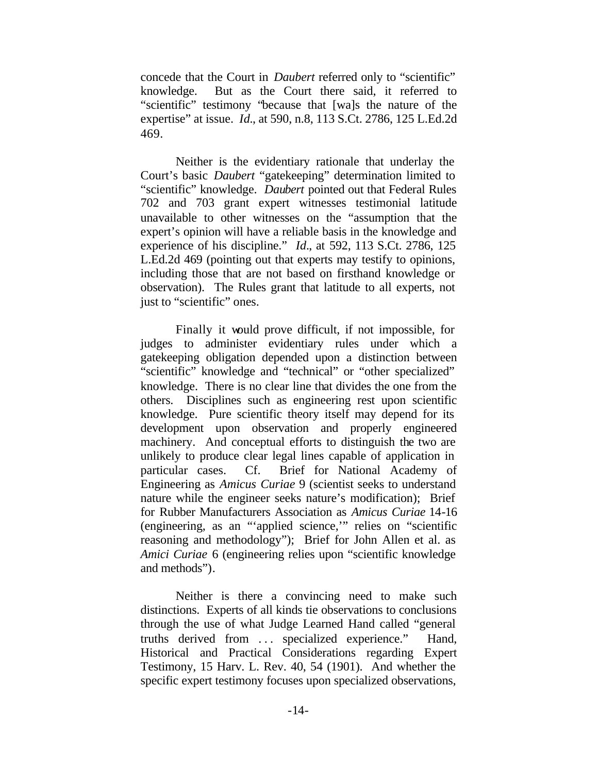concede that the Court in *Daubert* referred only to "scientific" knowledge. But as the Court there said, it referred to "scientific" testimony "because that [wa]s the nature of the expertise" at issue. *Id.*, at 590, n.8, 113 S.Ct. 2786, 125 L.Ed.2d 469.

Neither is the evidentiary rationale that underlay the Court's basic *Daubert* "gatekeeping" determination limited to "scientific" knowledge. *Daubert* pointed out that Federal Rules 702 and 703 grant expert witnesses testimonial latitude unavailable to other witnesses on the "assumption that the expert's opinion will have a reliable basis in the knowledge and experience of his discipline." *Id.*, at 592, 113 S.Ct. 2786, 125 L.Ed.2d 469 (pointing out that experts may testify to opinions, including those that are not based on firsthand knowledge or observation). The Rules grant that latitude to all experts, not just to "scientific" ones.

Finally it would prove difficult, if not impossible, for judges to administer evidentiary rules under which a gatekeeping obligation depended upon a distinction between "scientific" knowledge and "technical" or "other specialized" knowledge. There is no clear line that divides the one from the others. Disciplines such as engineering rest upon scientific knowledge. Pure scientific theory itself may depend for its development upon observation and properly engineered machinery. And conceptual efforts to distinguish the two are unlikely to produce clear legal lines capable of application in particular cases. Cf. Brief for National Academy of Engineering as *Amicus Curiae* 9 (scientist seeks to understand nature while the engineer seeks nature's modification); Brief for Rubber Manufacturers Association as *Amicus Curiae* 14-16 (engineering, as an "'applied science,'" relies on "scientific reasoning and methodology"); Brief for John Allen et al. as *Amici Curiae* 6 (engineering relies upon "scientific knowledge and methods").

Neither is there a convincing need to make such distinctions. Experts of all kinds tie observations to conclusions through the use of what Judge Learned Hand called "general truths derived from ... specialized experience." Hand, Historical and Practical Considerations regarding Expert Testimony, 15 Harv. L. Rev. 40, 54 (1901). And whether the specific expert testimony focuses upon specialized observations,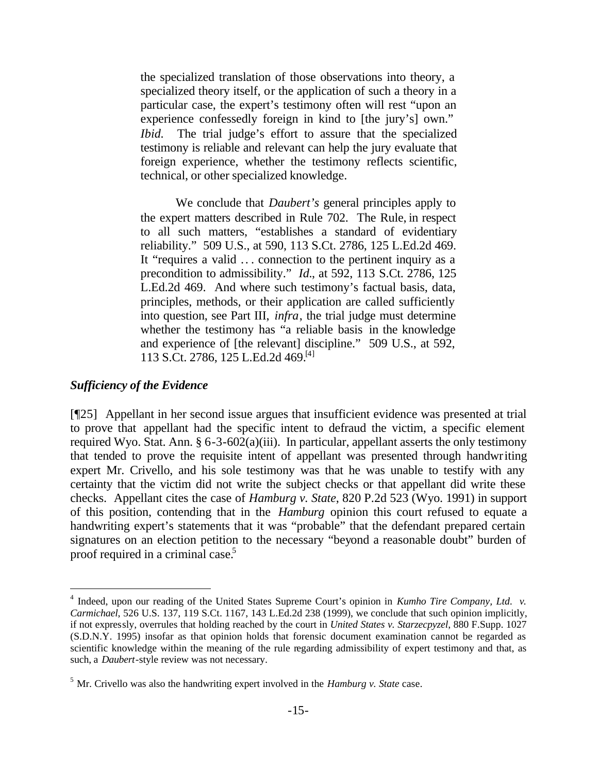the specialized translation of those observations into theory, a specialized theory itself, or the application of such a theory in a particular case, the expert's testimony often will rest "upon an experience confessedly foreign in kind to [the jury's] own." *Ibid.* The trial judge's effort to assure that the specialized testimony is reliable and relevant can help the jury evaluate that foreign experience, whether the testimony reflects scientific, technical, or other specialized knowledge.

We conclude that *Daubert's* general principles apply to the expert matters described in Rule 702. The Rule, in respect to all such matters, "establishes a standard of evidentiary reliability." 509 U.S., at 590, 113 S.Ct. 2786, 125 L.Ed.2d 469. It "requires a valid .. . connection to the pertinent inquiry as a precondition to admissibility." *Id.*, at 592, 113 S.Ct. 2786, 125 L.Ed.2d 469. And where such testimony's factual basis, data, principles, methods, or their application are called sufficiently into question, see Part III, *infra*, the trial judge must determine whether the testimony has "a reliable basis in the knowledge and experience of [the relevant] discipline." 509 U.S., at 592, 113 S.Ct. 2786, 125 L.Ed.2d 469.[4]

### *Sufficiency of the Evidence*

 $\overline{a}$ 

[¶25] Appellant in her second issue argues that insufficient evidence was presented at trial to prove that appellant had the specific intent to defraud the victim, a specific element required Wyo. Stat. Ann. § 6-3-602(a)(iii). In particular, appellant asserts the only testimony that tended to prove the requisite intent of appellant was presented through handwriting expert Mr. Crivello, and his sole testimony was that he was unable to testify with any certainty that the victim did not write the subject checks or that appellant did write these checks. Appellant cites the case of *Hamburg v. State*, 820 P.2d 523 (Wyo. 1991) in support of this position, contending that in the *Hamburg* opinion this court refused to equate a handwriting expert's statements that it was "probable" that the defendant prepared certain signatures on an election petition to the necessary "beyond a reasonable doubt" burden of proof required in a criminal case.<sup>5</sup>

<sup>&</sup>lt;sup>4</sup> Indeed, upon our reading of the United States Supreme Court's opinion in *Kumho Tire Company, Ltd. v. Carmichael*, 526 U.S. 137, 119 S.Ct. 1167, 143 L.Ed.2d 238 (1999), we conclude that such opinion implicitly, if not expressly, overrules that holding reached by the court in *United States v. Starzecpyzel*, 880 F.Supp. 1027 (S.D.N.Y. 1995) insofar as that opinion holds that forensic document examination cannot be regarded as scientific knowledge within the meaning of the rule regarding admissibility of expert testimony and that, as such, a *Daubert*-style review was not necessary.

<sup>5</sup> Mr. Crivello was also the handwriting expert involved in the *Hamburg v. State* case.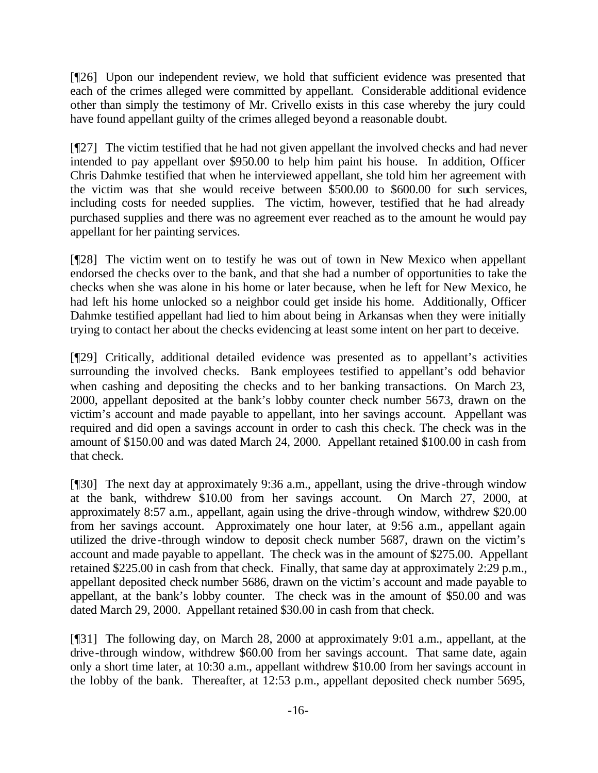[¶26] Upon our independent review, we hold that sufficient evidence was presented that each of the crimes alleged were committed by appellant. Considerable additional evidence other than simply the testimony of Mr. Crivello exists in this case whereby the jury could have found appellant guilty of the crimes alleged beyond a reasonable doubt.

[¶27] The victim testified that he had not given appellant the involved checks and had never intended to pay appellant over \$950.00 to help him paint his house. In addition, Officer Chris Dahmke testified that when he interviewed appellant, she told him her agreement with the victim was that she would receive between \$500.00 to \$600.00 for such services, including costs for needed supplies. The victim, however, testified that he had already purchased supplies and there was no agreement ever reached as to the amount he would pay appellant for her painting services.

[¶28] The victim went on to testify he was out of town in New Mexico when appellant endorsed the checks over to the bank, and that she had a number of opportunities to take the checks when she was alone in his home or later because, when he left for New Mexico, he had left his home unlocked so a neighbor could get inside his home. Additionally, Officer Dahmke testified appellant had lied to him about being in Arkansas when they were initially trying to contact her about the checks evidencing at least some intent on her part to deceive.

[¶29] Critically, additional detailed evidence was presented as to appellant's activities surrounding the involved checks. Bank employees testified to appellant's odd behavior when cashing and depositing the checks and to her banking transactions. On March 23, 2000, appellant deposited at the bank's lobby counter check number 5673, drawn on the victim's account and made payable to appellant, into her savings account. Appellant was required and did open a savings account in order to cash this check. The check was in the amount of \$150.00 and was dated March 24, 2000. Appellant retained \$100.00 in cash from that check.

[¶30] The next day at approximately 9:36 a.m., appellant, using the drive-through window at the bank, withdrew \$10.00 from her savings account. On March 27, 2000, at approximately 8:57 a.m., appellant, again using the drive-through window, withdrew \$20.00 from her savings account. Approximately one hour later, at 9:56 a.m., appellant again utilized the drive-through window to deposit check number 5687, drawn on the victim's account and made payable to appellant. The check was in the amount of \$275.00. Appellant retained \$225.00 in cash from that check. Finally, that same day at approximately 2:29 p.m., appellant deposited check number 5686, drawn on the victim's account and made payable to appellant, at the bank's lobby counter. The check was in the amount of \$50.00 and was dated March 29, 2000. Appellant retained \$30.00 in cash from that check.

[¶31] The following day, on March 28, 2000 at approximately 9:01 a.m., appellant, at the drive-through window, withdrew \$60.00 from her savings account. That same date, again only a short time later, at 10:30 a.m., appellant withdrew \$10.00 from her savings account in the lobby of the bank. Thereafter, at 12:53 p.m., appellant deposited check number 5695,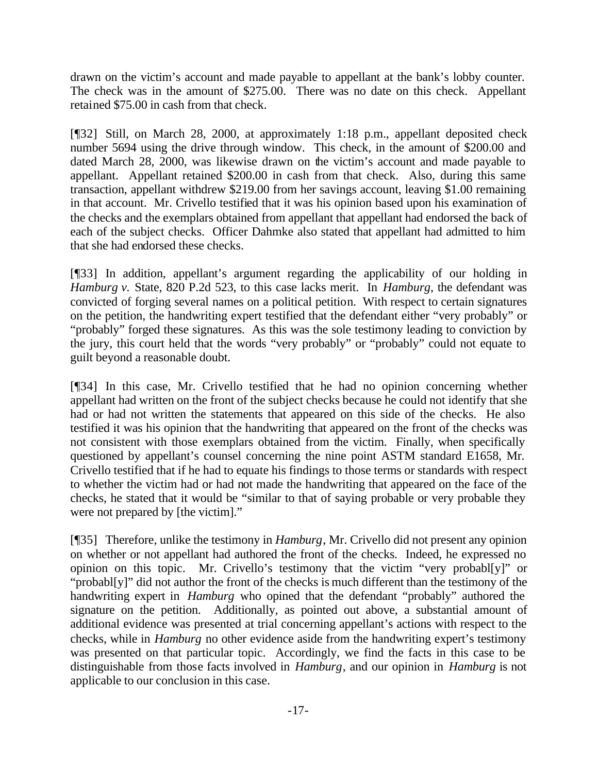drawn on the victim's account and made payable to appellant at the bank's lobby counter. The check was in the amount of \$275.00. There was no date on this check. Appellant retained \$75.00 in cash from that check.

[¶32] Still, on March 28, 2000, at approximately 1:18 p.m., appellant deposited check number 5694 using the drive through window. This check, in the amount of \$200.00 and dated March 28, 2000, was likewise drawn on the victim's account and made payable to appellant. Appellant retained \$200.00 in cash from that check. Also, during this same transaction, appellant withdrew \$219.00 from her savings account, leaving \$1.00 remaining in that account. Mr. Crivello testified that it was his opinion based upon his examination of the checks and the exemplars obtained from appellant that appellant had endorsed the back of each of the subject checks. Officer Dahmke also stated that appellant had admitted to him that she had endorsed these checks.

[¶33] In addition, appellant's argument regarding the applicability of our holding in *Hamburg v.* State, 820 P.2d 523, to this case lacks merit. In *Hamburg*, the defendant was convicted of forging several names on a political petition. With respect to certain signatures on the petition, the handwriting expert testified that the defendant either "very probably" or "probably" forged these signatures. As this was the sole testimony leading to conviction by the jury, this court held that the words "very probably" or "probably" could not equate to guilt beyond a reasonable doubt.

[¶34] In this case, Mr. Crivello testified that he had no opinion concerning whether appellant had written on the front of the subject checks because he could not identify that she had or had not written the statements that appeared on this side of the checks. He also testified it was his opinion that the handwriting that appeared on the front of the checks was not consistent with those exemplars obtained from the victim. Finally, when specifically questioned by appellant's counsel concerning the nine point ASTM standard E1658, Mr. Crivello testified that if he had to equate his findings to those terms or standards with respect to whether the victim had or had not made the handwriting that appeared on the face of the checks, he stated that it would be "similar to that of saying probable or very probable they were not prepared by [the victim]."

[¶35] Therefore, unlike the testimony in *Hamburg*, Mr. Crivello did not present any opinion on whether or not appellant had authored the front of the checks. Indeed, he expressed no opinion on this topic. Mr. Crivello's testimony that the victim "very probabl[y]" or "probabl[y]" did not author the front of the checks is much different than the testimony of the handwriting expert in *Hamburg* who opined that the defendant "probably" authored the signature on the petition. Additionally, as pointed out above, a substantial amount of additional evidence was presented at trial concerning appellant's actions with respect to the checks, while in *Hamburg* no other evidence aside from the handwriting expert's testimony was presented on that particular topic. Accordingly, we find the facts in this case to be distinguishable from those facts involved in *Hamburg*, and our opinion in *Hamburg* is not applicable to our conclusion in this case.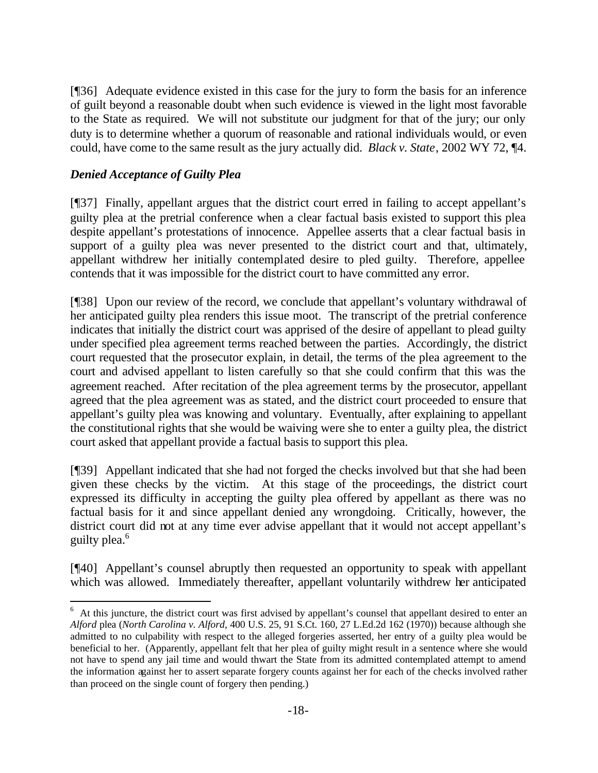[¶36] Adequate evidence existed in this case for the jury to form the basis for an inference of guilt beyond a reasonable doubt when such evidence is viewed in the light most favorable to the State as required. We will not substitute our judgment for that of the jury; our only duty is to determine whether a quorum of reasonable and rational individuals would, or even could, have come to the same result as the jury actually did. *Black v. State*, 2002 WY 72, ¶4.

# *Denied Acceptance of Guilty Plea*

 $\overline{a}$ 

[¶37] Finally, appellant argues that the district court erred in failing to accept appellant's guilty plea at the pretrial conference when a clear factual basis existed to support this plea despite appellant's protestations of innocence. Appellee asserts that a clear factual basis in support of a guilty plea was never presented to the district court and that, ultimately, appellant withdrew her initially contemplated desire to pled guilty. Therefore, appellee contends that it was impossible for the district court to have committed any error.

[¶38] Upon our review of the record, we conclude that appellant's voluntary withdrawal of her anticipated guilty plea renders this issue moot. The transcript of the pretrial conference indicates that initially the district court was apprised of the desire of appellant to plead guilty under specified plea agreement terms reached between the parties. Accordingly, the district court requested that the prosecutor explain, in detail, the terms of the plea agreement to the court and advised appellant to listen carefully so that she could confirm that this was the agreement reached. After recitation of the plea agreement terms by the prosecutor, appellant agreed that the plea agreement was as stated, and the district court proceeded to ensure that appellant's guilty plea was knowing and voluntary. Eventually, after explaining to appellant the constitutional rights that she would be waiving were she to enter a guilty plea, the district court asked that appellant provide a factual basis to support this plea.

[¶39] Appellant indicated that she had not forged the checks involved but that she had been given these checks by the victim. At this stage of the proceedings, the district court expressed its difficulty in accepting the guilty plea offered by appellant as there was no factual basis for it and since appellant denied any wrongdoing. Critically, however, the district court did not at any time ever advise appellant that it would not accept appellant's guilty plea.<sup>6</sup>

[¶40] Appellant's counsel abruptly then requested an opportunity to speak with appellant which was allowed. Immediately thereafter, appellant voluntarily withdrew her anticipated

<sup>&</sup>lt;sup>6</sup> At this juncture, the district court was first advised by appellant's counsel that appellant desired to enter an *Alford* plea (*North Carolina v. Alford*, 400 U.S. 25, 91 S.Ct. 160, 27 L.Ed.2d 162 (1970)) because although she admitted to no culpability with respect to the alleged forgeries asserted, her entry of a guilty plea would be beneficial to her. (Apparently, appellant felt that her plea of guilty might result in a sentence where she would not have to spend any jail time and would thwart the State from its admitted contemplated attempt to amend the information against her to assert separate forgery counts against her for each of the checks involved rather than proceed on the single count of forgery then pending.)